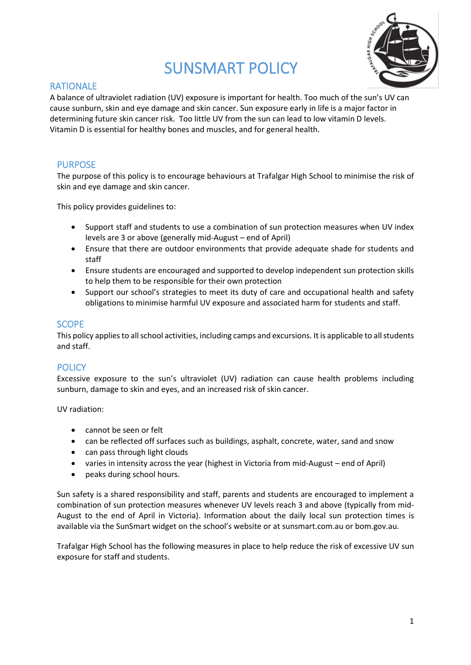# SUNSMART POLICY



## RATIONALE

A balance of ultraviolet radiation (UV) exposure is important for health. Too much of the sun's UV can cause sunburn, skin and eye damage and skin cancer. Sun exposure early in life is a major factor in determining future skin cancer risk. Too little UV from the sun can lead to low vitamin D levels. Vitamin D is essential for healthy bones and muscles, and for general health.

#### PURPOSE

The purpose of this policy is to encourage behaviours at Trafalgar High School to minimise the risk of skin and eye damage and skin cancer.

This policy provides guidelines to:

- Support staff and students to use a combination of sun protection measures when UV index levels are 3 or above (generally mid-August – end of April)
- Ensure that there are outdoor environments that provide adequate shade for students and staff
- Ensure students are encouraged and supported to develop independent sun protection skills to help them to be responsible for their own protection
- Support our school's strategies to meet its duty of care and occupational health and safety obligations to minimise harmful UV exposure and associated harm for students and staff.

#### **SCOPE**

This policy applies to all school activities, including camps and excursions. It is applicable to all students and staff.

#### **POLICY**

Excessive exposure to the sun's ultraviolet (UV) radiation can cause health problems including sunburn, damage to skin and eyes, and an increased risk of skin cancer.

UV radiation:

- cannot be seen or felt
- can be reflected off surfaces such as buildings, asphalt, concrete, water, sand and snow
- can pass through light clouds
- varies in intensity across the year (highest in Victoria from mid-August end of April)
- peaks during school hours.

Sun safety is a shared responsibility and staff, parents and students are encouraged to implement a combination of sun protection measures whenever UV levels reach 3 and above (typically from mid-August to the end of April in Victoria). Information about the daily local sun protection times is available via the [SunSmart widget](http://www.sunsmart.com.au/uv-sun-protection/uv/uv-widget) on the school's website or a[t sunsmart.com.au](http://www.sunsmart.com.au/) or bom.gov.au.

Trafalgar High School has the following measures in place to help reduce the risk of excessive UV sun exposure for staff and students.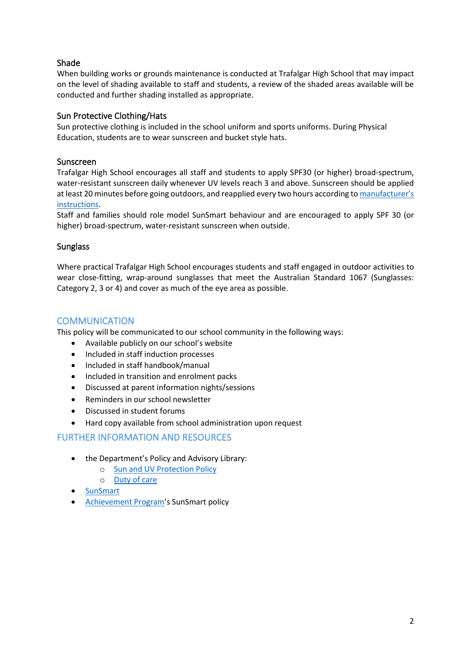### Shade

When building works or grounds maintenance is conducted at Trafalgar High School that may impact on the level of shading available to staff and students, a review of the shaded areas available will be conducted and further shading installed as appropriate.

#### Sun Protective Clothing/Hats

Sun protective clothing is included in the school uniform and sports uniforms. During Physical Education, students are to wear sunscreen and bucket style hats.

#### Sunscreen

Trafalgar High School encourages all staff and students to apply SPF30 (or higher) broad-spectrum, water-resistant sunscreen daily whenever UV levels reach 3 and above. Sunscreen should be applied at least 20 minutes before going outdoors, and reapplied every two hours according to manufacturer's [instructions.](https://www.tga.gov.au/book/4-labelling-and-advertising)

Staff and families should role model SunSmart behaviour and are encouraged to apply SPF 30 (or higher) broad-spectrum, water-resistant sunscreen when outside.

#### **Sunglass**

Where practical Trafalgar High School encourages students and staff engaged in outdoor activities to wear close-fitting, wrap-around sunglasses that meet the Australian Standard 1067 (Sunglasses: Category 2, 3 or 4) and cover as much of the eye area as possible.

#### **COMMUNICATION**

This policy will be communicated to our school community in the following ways:

- Available publicly on our school's website
- Included in staff induction processes
- Included in staff handbook/manual
- Included in transition and enrolment packs
- Discussed at parent information nights/sessions
- Reminders in our school newsletter
- Discussed in student forums
- Hard copy available from school administration upon request

#### FURTHER INFORMATION AND RESOURCES

- the Department's Policy and Advisory Library:
	- o [Sun and UV Protection Policy](https://www2.education.vic.gov.au/pal/sun-protection/policy)
	- o [Duty of care](https://www2.education.vic.gov.au/pal/duty-of-care/policy)
- **[SunSmart](http://www.sunsmart.com.au/)**
- [Achievement Program](http://www.achievementprogram.health.vic.gov.au/schools)'s SunSmart policy